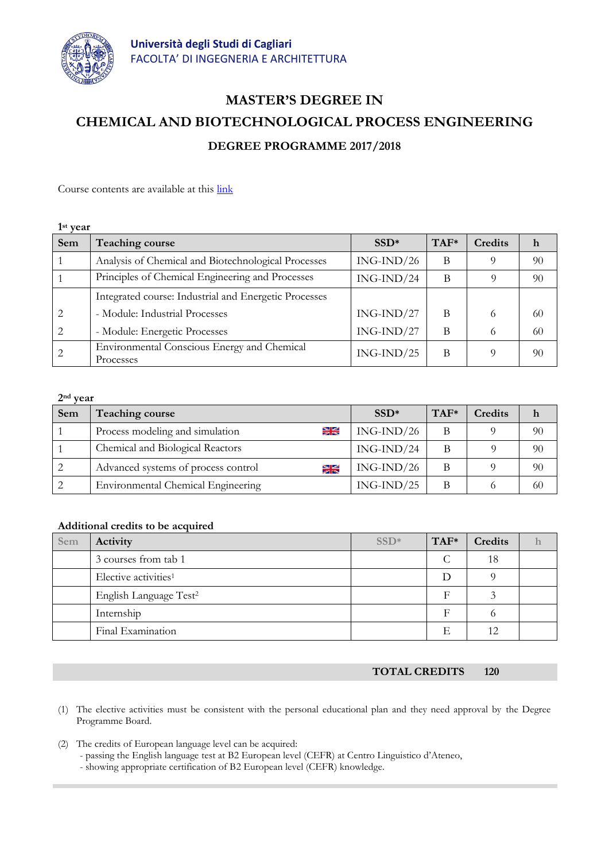

## **MASTER'S DEGREE IN CHEMICAL AND BIOTECHNOLOGICAL PROCESS ENGINEERING DEGREE PROGRAMME 2017/2018**

Course contents are available at this [link](http://facolta.unica.it/ingegneriarchitettura/education/lecture-schedule/?lang=en)

| $1st$ year     |                                                          |              |        |                |    |
|----------------|----------------------------------------------------------|--------------|--------|----------------|----|
| Sem            | <b>Teaching course</b>                                   | $SSD*$       | $TAF*$ | <b>Credits</b> | h  |
|                | Analysis of Chemical and Biotechnological Processes      | $ING-IND/26$ | B      |                | 90 |
|                | Principles of Chemical Engineering and Processes         | $ING-IND/24$ | B      |                | 90 |
|                | Integrated course: Industrial and Energetic Processes    |              |        |                |    |
| 2              | - Module: Industrial Processes                           | $ING-IND/27$ | B      | 6              | 60 |
| $\mathfrak{D}$ | - Module: Energetic Processes                            | $ING-IND/27$ | B      | 6              | 60 |
|                | Environmental Conscious Energy and Chemical<br>Processes | $ING-IND/25$ | B      |                | 90 |

**2nd year**

| Sem | Teaching course                                   | $SSD*$       | $TAF*$ | Credits | h  |
|-----|---------------------------------------------------|--------------|--------|---------|----|
|     | H <sub>2</sub><br>Process modeling and simulation | $ING-IND/26$ | B      |         | 90 |
|     | Chemical and Biological Reactors                  | $ING-IND/24$ | В      |         | 90 |
|     | Advanced systems of process control<br>¥          | $ING-IND/26$ | B      |         | 90 |
|     | Environmental Chemical Engineering                | $ING-IND/25$ | B      |         | 60 |

## **Additional credits to be acquired**

| Sem | Activity                           | $SSD*$ | TAF* | Credits         |  |
|-----|------------------------------------|--------|------|-----------------|--|
|     | 3 courses from tab 1               |        |      | 18              |  |
|     | Elective activities <sup>1</sup>   |        | D    |                 |  |
|     | English Language Test <sup>2</sup> |        |      |                 |  |
|     | Internship                         |        |      |                 |  |
|     | Final Examination                  |        | F    | 12 <sub>1</sub> |  |

**TOTAL CREDITS 120**

- (1) The elective activities must be consistent with the personal educational plan and they need approval by the Degree Programme Board.
- (2) The credits of European language level can be acquired:
	- passing the English language test at B2 European level (CEFR) at Centro Linguistico d'Ateneo,
	- showing appropriate certification of B2 European level (CEFR) knowledge.